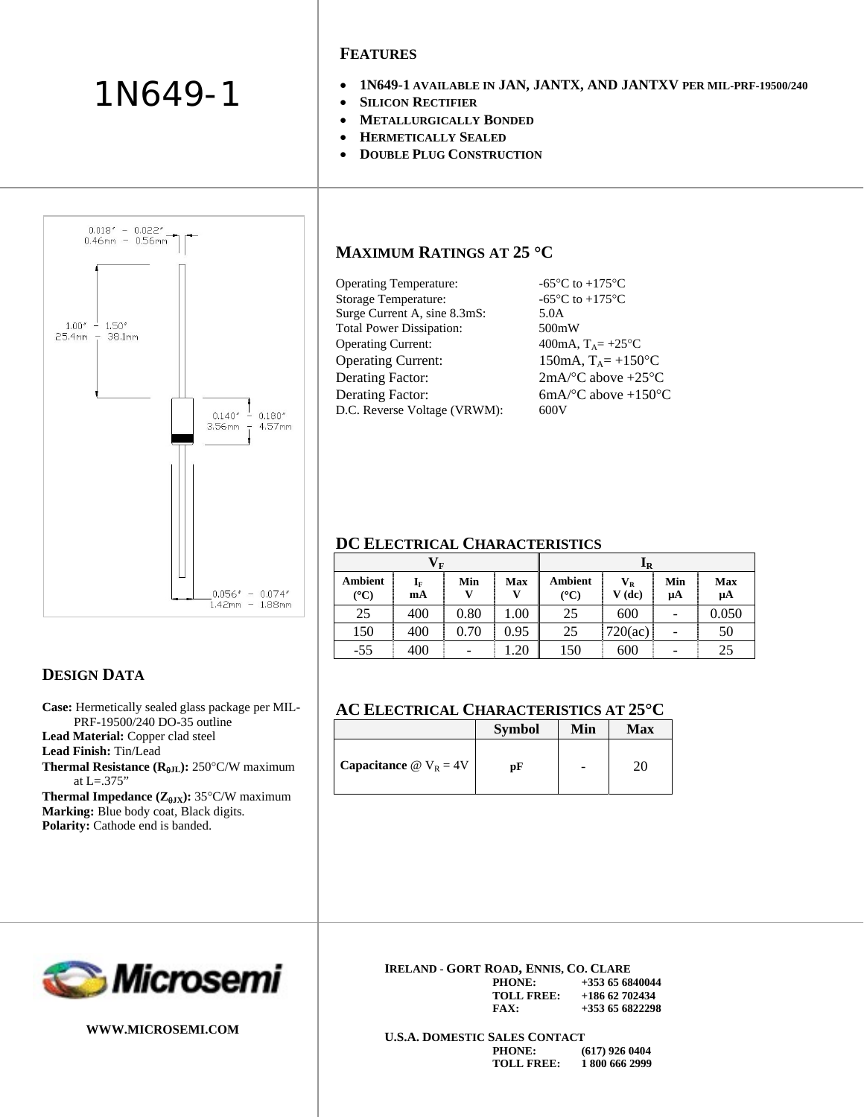# 1N649-1



#### **FEATURES**

- **1N649-1 AVAILABLE IN JAN, JANTX, AND JANTXV PER MIL-PRF-19500/240**
- **SILICON RECTIFIER**
- **METALLURGICALLY BONDED**
- **HERMETICALLY SEALED**
- **DOUBLE PLUG CONSTRUCTION**

### **MAXIMUM RATINGS AT 25** °**C**

| -65 $\mathrm{^{\circ}C}$ to +175 $\mathrm{^{\circ}C}$ |
|-------------------------------------------------------|
| -65 $\mathrm{^{\circ}C}$ to +175 $\mathrm{^{\circ}C}$ |
| 5.0A                                                  |
| 500mW                                                 |
| 400mA, $T_A = +25$ °C                                 |
| 150mA, $T_A = +150$ °C                                |
| $2mA$ <sup>o</sup> C above +25 <sup>o</sup> C         |
| $6mA$ <sup>o</sup> C above +150 <sup>o</sup> C        |
| 600V                                                  |
|                                                       |

### **DC ELECTRICAL CHARACTERISTICS**

| $\mathbf{V}_\mathbf{F}$ |                               |          |      | цR              |                     |                          |           |
|-------------------------|-------------------------------|----------|------|-----------------|---------------------|--------------------------|-----------|
| <b>Ambient</b><br>(°C)  | $\mathbf{I}_{\text{F}}$<br>mA | Min      | Max  | Ambient<br>(°C) | $V_{R}$<br>$V$ (dc) | Min<br>μA                | Max<br>μA |
| 25                      | 400                           | 0.80     | 1.00 | 25              | 600                 | -                        | 0.050     |
| 150                     | 400                           | 0.70     | 0.95 | 25              | 720(ac)             | $\overline{\phantom{0}}$ | 50        |
| -55                     | 400                           | $\equiv$ | 1.20 | 150             | 600                 | $\overline{\phantom{a}}$ | 25        |

#### **AC ELECTRICAL CHARACTERISTICS AT 25**°**C**

|                                          | <b>Symbol</b> | Min | Max |
|------------------------------------------|---------------|-----|-----|
| Capacitance $\omega$ V <sub>R</sub> = 4V | pF            |     | 20  |

## **DESIGN DATA**

**Case:** Hermetically sealed glass package per MIL-PRF-19500/240 DO-35 outline **Lead Material:** Copper clad steel **Lead Finish:** Tin/Lead **Thermal Resistance (R<sub>θJL</sub>): 250°C/W maximum** at L=.375" **Thermal Impedance (Z<sub>θJX</sub>): 35°C/W maximum Marking:** Blue body coat, Black digits. Polarity: Cathode end is banded.





**WWW.MICROSEMI.COM** 

**IRELAND - GORT ROAD, ENNIS, CO. CLARE PHONE:** +353 65 6840044<br>**TOLL FREE:** +186 62 702434 **TOLL FREE: +186 62 702434 FAX: +353 65 6822298** 

**U.S.A. DOMESTIC SALES CONTACT PHONE: (617) 926 0404 TOLL FREE: 1 800 666 2999**